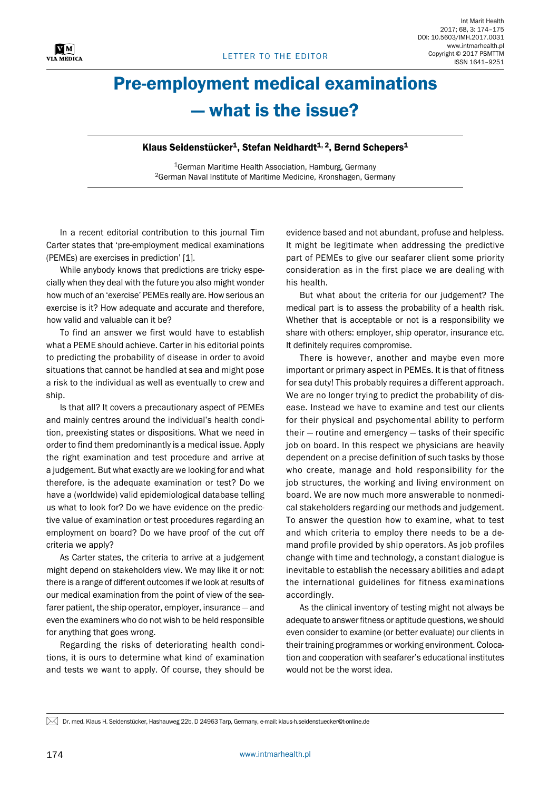## Pre-employment medical examinations — what is the issue?

## Klaus Seidenstücker<sup>1</sup>, Stefan Neidhardt<sup>1, 2</sup>, Bernd Schepers<sup>1</sup>

<sup>1</sup>German Maritime Health Association, Hamburg, Germany 2German Naval Institute of Maritime Medicine, Kronshagen, Germany

In a recent editorial contribution to this journal Tim Carter states that 'pre-employment medical examinations (PEMEs) are exercises in prediction' [1].

While anybody knows that predictions are tricky especially when they deal with the future you also might wonder how much of an 'exercise' PEMEs really are. How serious an exercise is it? How adequate and accurate and therefore, how valid and valuable can it be?

To find an answer we first would have to establish what a PEME should achieve. Carter in his editorial points to predicting the probability of disease in order to avoid situations that cannot be handled at sea and might pose a risk to the individual as well as eventually to crew and ship.

Is that all? It covers a precautionary aspect of PEMEs and mainly centres around the individual's health condition, preexisting states or dispositions. What we need in order to find them predominantly is a medical issue. Apply the right examination and test procedure and arrive at a judgement. But what exactly are we looking for and what therefore, is the adequate examination or test? Do we have a (worldwide) valid epidemiological database telling us what to look for? Do we have evidence on the predictive value of examination or test procedures regarding an employment on board? Do we have proof of the cut off criteria we apply?

As Carter states, the criteria to arrive at a judgement might depend on stakeholders view. We may like it or not: there is a range of different outcomes if we look at results of our medical examination from the point of view of the seafarer patient, the ship operator, employer, insurance — and even the examiners who do not wish to be held responsible for anything that goes wrong.

Regarding the risks of deteriorating health conditions, it is ours to determine what kind of examination and tests we want to apply. Of course, they should be

evidence based and not abundant, profuse and helpless. It might be legitimate when addressing the predictive part of PEMEs to give our seafarer client some priority consideration as in the first place we are dealing with his health.

But what about the criteria for our judgement? The medical part is to assess the probability of a health risk. Whether that is acceptable or not is a responsibility we share with others: employer, ship operator, insurance etc. It definitely requires compromise.

There is however, another and maybe even more important or primary aspect in PEMEs. It is that of fitness for sea duty! This probably requires a different approach. We are no longer trying to predict the probability of disease. Instead we have to examine and test our clients for their physical and psychomental ability to perform their — routine and emergency — tasks of their specific job on board. In this respect we physicians are heavily dependent on a precise definition of such tasks by those who create, manage and hold responsibility for the job structures, the working and living environment on board. We are now much more answerable to nonmedical stakeholders regarding our methods and judgement. To answer the question how to examine, what to test and which criteria to employ there needs to be a demand profile provided by ship operators. As job profiles change with time and technology, a constant dialogue is inevitable to establish the necessary abilities and adapt the international guidelines for fitness examinations accordingly.

As the clinical inventory of testing might not always be adequate to answer fitness or aptitude questions, we should even consider to examine (or better evaluate) our clients in their training programmes or working environment. Colocation and cooperation with seafarer's educational institutes would not be the worst idea.

 $\bowtie$  Dr. med. Klaus H. Seidenstücker, Hashauweg 22b, D 24963 Tarp, Germany, e-mail: klaus-h.seidenstuecker@t-online.de